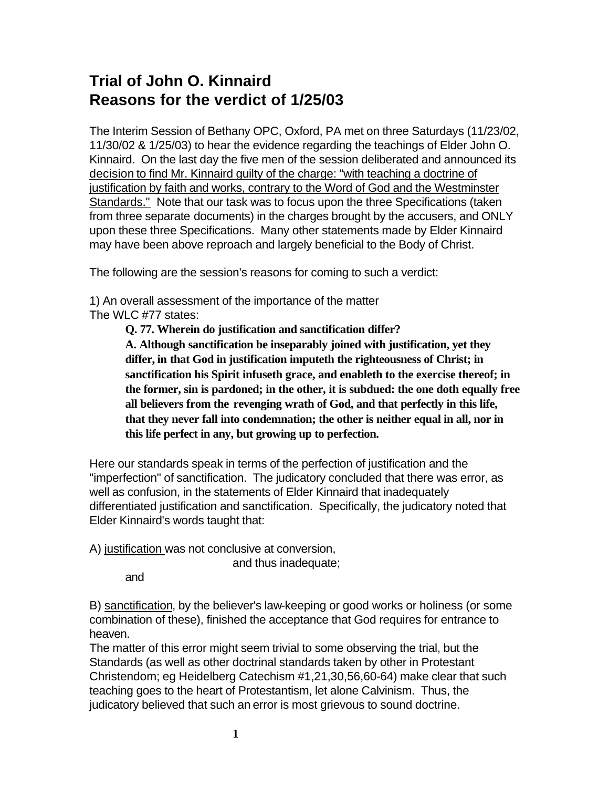## **Trial of John O. Kinnaird Reasons for the verdict of 1/25/03**

The Interim Session of Bethany OPC, Oxford, PA met on three Saturdays (11/23/02, 11/30/02 & 1/25/03) to hear the evidence regarding the teachings of Elder John O. Kinnaird. On the last day the five men of the session deliberated and announced its decision to find Mr. Kinnaird guilty of the charge: "with teaching a doctrine of justification by faith and works, contrary to the Word of God and the Westminster Standards." Note that our task was to focus upon the three Specifications (taken from three separate documents) in the charges brought by the accusers, and ONLY upon these three Specifications. Many other statements made by Elder Kinnaird may have been above reproach and largely beneficial to the Body of Christ.

The following are the session's reasons for coming to such a verdict:

1) An overall assessment of the importance of the matter The WLC #77 states:

**Q. 77. Wherein do justification and sanctification differ?**

**A. Although sanctification be inseparably joined with justification, yet they differ, in that God in justification imputeth the righteousness of Christ; in sanctification his Spirit infuseth grace, and enableth to the exercise thereof; in the former, sin is pardoned; in the other, it is subdued: the one doth equally free all believers from the revenging wrath of God, and that perfectly in this life, that they never fall into condemnation; the other is neither equal in all, nor in this life perfect in any, but growing up to perfection.**

Here our standards speak in terms of the perfection of justification and the "imperfection" of sanctification. The judicatory concluded that there was error, as well as confusion, in the statements of Elder Kinnaird that inadequately differentiated justification and sanctification. Specifically, the judicatory noted that Elder Kinnaird's words taught that:

A) justification was not conclusive at conversion,

and thus inadequate;

and

B) sanctification, by the believer's law-keeping or good works or holiness (or some combination of these), finished the acceptance that God requires for entrance to heaven.

The matter of this error might seem trivial to some observing the trial, but the Standards (as well as other doctrinal standards taken by other in Protestant Christendom; eg Heidelberg Catechism #1,21,30,56,60-64) make clear that such teaching goes to the heart of Protestantism, let alone Calvinism. Thus, the judicatory believed that such an error is most grievous to sound doctrine.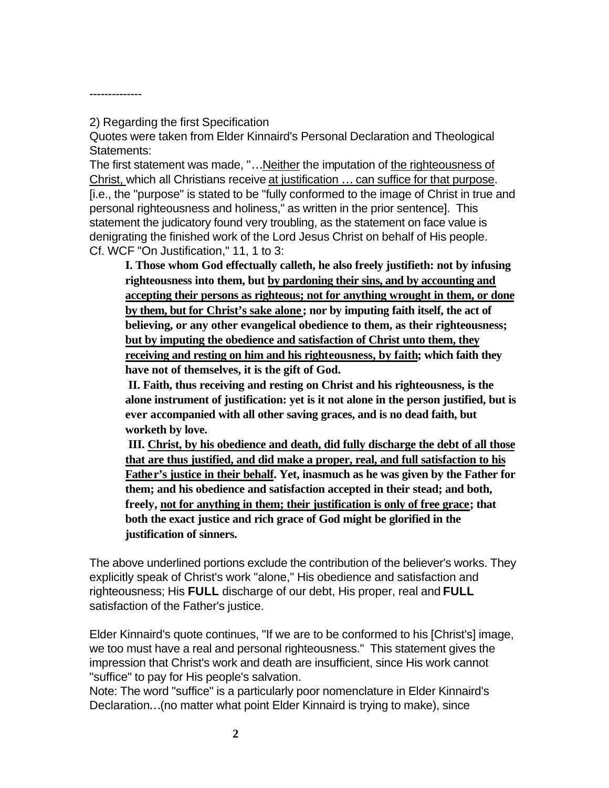2) Regarding the first Specification

--------------

Quotes were taken from Elder Kinnaird's Personal Declaration and Theological Statements:

The first statement was made, "…Neither the imputation of the righteousness of Christ, which all Christians receive at justification … can suffice for that purpose. [i.e., the "purpose" is stated to be "fully conformed to the image of Christ in true and personal righteousness and holiness," as written in the prior sentence]. This statement the judicatory found very troubling, as the statement on face value is denigrating the finished work of the Lord Jesus Christ on behalf of His people. Cf. WCF "On Justification," 11, 1 to 3:

**I. Those whom God effectually calleth, he also freely justifieth: not by infusing righteousness into them, but by pardoning their sins, and by accounting and accepting their persons as righteous; not for anything wrought in them, or done by them, but for Christ's sake alone ; nor by imputing faith itself, the act of believing, or any other evangelical obedience to them, as their righteousness; but by imputing the obedience and satisfaction of Christ unto them, they receiving and resting on him and his righteousness, by faith; which faith they have not of themselves, it is the gift of God.** 

**II. Faith, thus receiving and resting on Christ and his righteousness, is the alone instrument of justification: yet is it not alone in the person justified, but is ever accompanied with all other saving graces, and is no dead faith, but worketh by love.** 

**III. Christ, by his obedience and death, did fully discharge the debt of all those that are thus justified, and did make a proper, real, and full satisfaction to his Father's justice in their behalf. Yet, inasmuch as he was given by the Father for them; and his obedience and satisfaction accepted in their stead; and both, freely, not for anything in them; their justification is only of free grace; that both the exact justice and rich grace of God might be glorified in the justification of sinners.** 

The above underlined portions exclude the contribution of the believer's works. They explicitly speak of Christ's work "alone," His obedience and satisfaction and righteousness; His **FULL** discharge of our debt, His proper, real and **FULL** satisfaction of the Father's justice.

Elder Kinnaird's quote continues, "If we are to be conformed to his [Christ's] image, we too must have a real and personal righteousness." This statement gives the impression that Christ's work and death are insufficient, since His work cannot "suffice" to pay for His people's salvation.

Note: The word "suffice" is a particularly poor nomenclature in Elder Kinnaird's Declaration…(no matter what point Elder Kinnaird is trying to make), since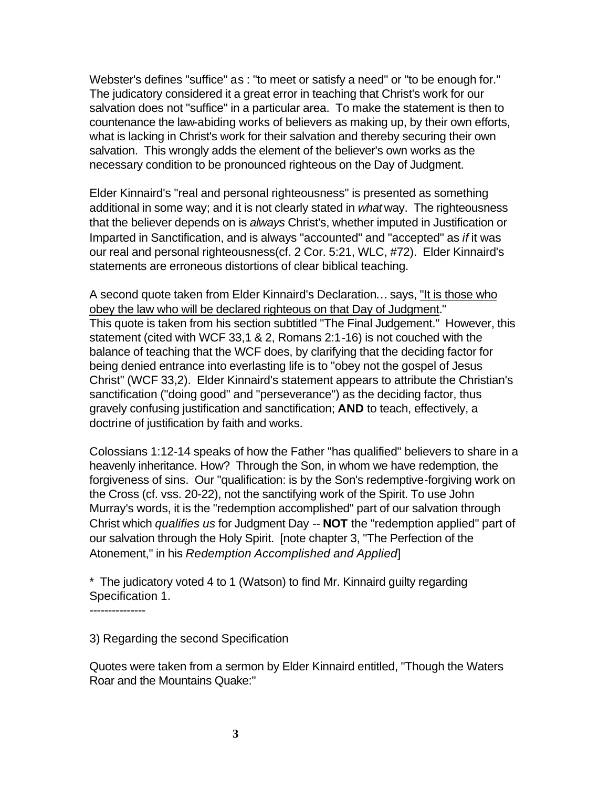Webster's defines "suffice" as : "to meet or satisfy a need" or "to be enough for." The judicatory considered it a great error in teaching that Christ's work for our salvation does not "suffice" in a particular area. To make the statement is then to countenance the law-abiding works of believers as making up, by their own efforts, what is lacking in Christ's work for their salvation and thereby securing their own salvation. This wrongly adds the element of the believer's own works as the necessary condition to be pronounced righteous on the Day of Judgment.

Elder Kinnaird's "real and personal righteousness" is presented as something additional in some way; and it is not clearly stated in *what* way. The righteousness that the believer depends on is *always* Christ's, whether imputed in Justification or Imparted in Sanctification, and is always "accounted" and "accepted" as *if* it was our real and personal righteousness(cf. 2 Cor. 5:21, WLC, #72). Elder Kinnaird's statements are erroneous distortions of clear biblical teaching.

A second quote taken from Elder Kinnaird's Declaration… says, "It is those who obey the law who will be declared righteous on that Day of Judgment." This quote is taken from his section subtitled "The Final Judgement." However, this statement (cited with WCF 33,1 & 2, Romans 2:1-16) is not couched with the balance of teaching that the WCF does, by clarifying that the deciding factor for being denied entrance into everlasting life is to "obey not the gospel of Jesus Christ" (WCF 33,2). Elder Kinnaird's statement appears to attribute the Christian's sanctification ("doing good" and "perseverance") as the deciding factor, thus gravely confusing justification and sanctification; **AND** to teach, effectively, a doctrine of justification by faith and works.

Colossians 1:12-14 speaks of how the Father "has qualified" believers to share in a heavenly inheritance. How? Through the Son, in whom we have redemption, the forgiveness of sins. Our "qualification: is by the Son's redemptive-forgiving work on the Cross (cf. vss. 20-22), not the sanctifying work of the Spirit. To use John Murray's words, it is the "redemption accomplished" part of our salvation through Christ which *qualifies us* for Judgment Day -- **NOT** the "redemption applied" part of our salvation through the Holy Spirit. [note chapter 3, "The Perfection of the Atonement," in his *Redemption Accomplished and Applied*]

\* The judicatory voted 4 to 1 (Watson) to find Mr. Kinnaird guilty regarding Specification 1.

---------------

3) Regarding the second Specification

Quotes were taken from a sermon by Elder Kinnaird entitled, "Though the Waters Roar and the Mountains Quake:"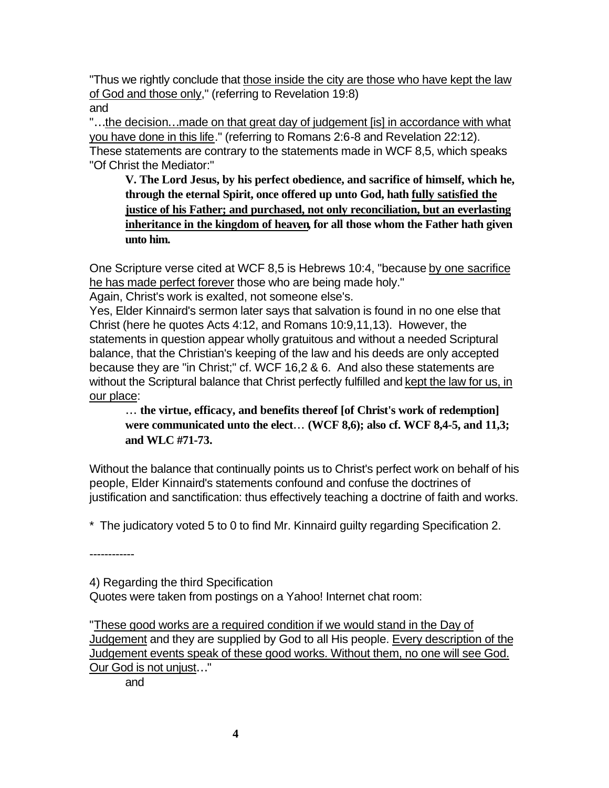"Thus we rightly conclude that those inside the city are those who have kept the law of God and those only," (referring to Revelation 19:8) and

"…the decision…made on that great day of judgement [is] in accordance with what you have done in this life." (referring to Romans 2:6-8 and Revelation 22:12). These statements are contrary to the statements made in WCF 8,5, which speaks "Of Christ the Mediator:"

**V. The Lord Jesus, by his perfect obedience, and sacrifice of himself, which he, through the eternal Spirit, once offered up unto God, hath fully satisfied the justice of his Father; and purchased, not only reconciliation, but an everlasting inheritance in the kingdom of heaven, for all those whom the Father hath given unto him.**

One Scripture verse cited at WCF 8,5 is Hebrews 10:4, "because by one sacrifice he has made perfect forever those who are being made holy."

Again, Christ's work is exalted, not someone else's.

Yes, Elder Kinnaird's sermon later says that salvation is found in no one else that Christ (here he quotes Acts 4:12, and Romans 10:9,11,13). However, the statements in question appear wholly gratuitous and without a needed Scriptural balance, that the Christian's keeping of the law and his deeds are only accepted because they are "in Christ;" cf. WCF 16,2 & 6. And also these statements are without the Scriptural balance that Christ perfectly fulfilled and kept the law for us, in our place:

**¼ the virtue, efficacy, and benefits thereof [of Christ's work of redemption] were communicated unto the elect¼ (WCF 8,6); also cf. WCF 8,4-5, and 11,3; and WLC #71-73.**

Without the balance that continually points us to Christ's perfect work on behalf of his people, Elder Kinnaird's statements confound and confuse the doctrines of justification and sanctification: thus effectively teaching a doctrine of faith and works.

\* The judicatory voted 5 to 0 to find Mr. Kinnaird guilty regarding Specification 2.

------------

4) Regarding the third Specification

Quotes were taken from postings on a Yahoo! Internet chat room:

"These good works are a required condition if we would stand in the Day of Judgement and they are supplied by God to all His people. Every description of the Judgement events speak of these good works. Without them, no one will see God. Our God is not unjust…"

and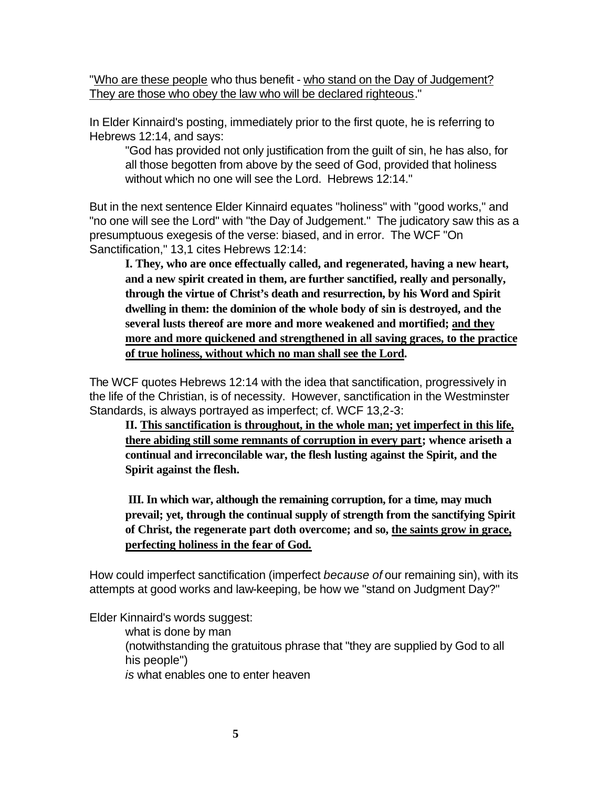"Who are these people who thus benefit - who stand on the Day of Judgement? They are those who obey the law who will be declared righteous."

In Elder Kinnaird's posting, immediately prior to the first quote, he is referring to Hebrews 12:14, and says:

"God has provided not only justification from the guilt of sin, he has also, for all those begotten from above by the seed of God, provided that holiness without which no one will see the Lord. Hebrews 12:14."

But in the next sentence Elder Kinnaird equates "holiness" with "good works," and "no one will see the Lord" with "the Day of Judgement." The judicatory saw this as a presumptuous exegesis of the verse: biased, and in error. The WCF "On Sanctification," 13,1 cites Hebrews 12:14:

**I. They, who are once effectually called, and regenerated, having a new heart, and a new spirit created in them, are further sanctified, really and personally, through the virtue of Christ's death and resurrection, by his Word and Spirit dwelling in them: the dominion of the whole body of sin is destroyed, and the several lusts thereof are more and more weakened and mortified; and they more and more quickened and strengthened in all saving graces, to the practice of true holiness, without which no man shall see the Lord.**

The WCF quotes Hebrews 12:14 with the idea that sanctification, progressively in the life of the Christian, is of necessity. However, sanctification in the Westminster Standards, is always portrayed as imperfect; cf. WCF 13,2-3:

**II. This sanctification is throughout, in the whole man; yet imperfect in this life, there abiding still some remnants of corruption in every part; whence ariseth a continual and irreconcilable war, the flesh lusting against the Spirit, and the Spirit against the flesh.** 

**III. In which war, although the remaining corruption, for a time, may much prevail; yet, through the continual supply of strength from the sanctifying Spirit of Christ, the regenerate part doth overcome; and so, the saints grow in grace, perfecting holiness in the fear of God.**

How could imperfect sanctification (imperfect *because of* our remaining sin), with its attempts at good works and law-keeping, be how we "stand on Judgment Day?"

Elder Kinnaird's words suggest:

what is done by man (notwithstanding the gratuitous phrase that "they are supplied by God to all his people") *is* what enables one to enter heaven